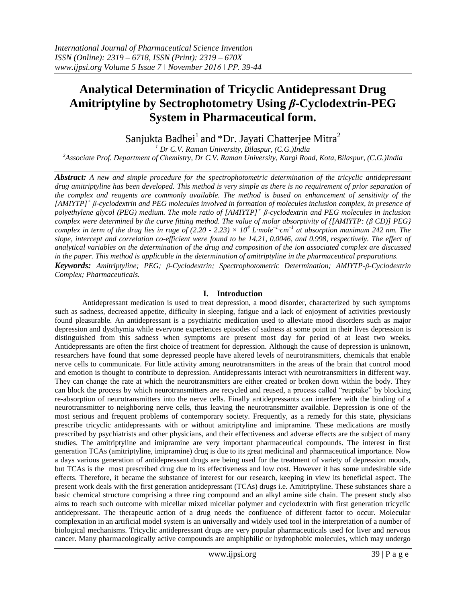# **Analytical Determination of Tricyclic Antidepressant Drug Amitriptyline by Sectrophotometry Using** *β***-Cyclodextrin-PEG System in Pharmaceutical form.**

Sanjukta Badhei<sup>1</sup> and \*Dr. Jayati Chatterjee Mitra<sup>2</sup>

*<sup>1</sup> Dr C.V. Raman University, Bilaspur, (C.G.)India <sup>2</sup>Associate Prof. Department of Chemistry, Dr C.V. Raman University, Kargi Road, Kota, Bilaspur, (C.G.)India*

*Abstract: A new and simple procedure for the spectrophotometric determination of the tricyclic antidepressant drug amitriptyline has been developed. This method is very simple as there is no requirement of prior separation of the complex and reagents are commonly available. The method is based on enhancement of sensitivity of the [AMIYTP]<sup>+</sup> β-cyclodextrin and PEG molecules involved in formation of molecules inclusion complex, in presence of polyethylene glycol (PEG) medium. The mole ratio of [AMIYTP]<sup>+</sup> β-cyclodextrin and PEG molecules in inclusion complex were determined by the curve fitting method. The value of molar absorptivity of {[AMIYTP: (β CD)] PEG} complex in term of the drug lies in rage of (2.20 - 2.23)*  $\times$  10<sup>4</sup> L·mole<sup>-1</sup>·cm<sup>-1</sup> at absorption maximum 242 nm. The *slope, intercept and correlation co-efficient were found to be 14.21, 0.0046, and 0.998, respectively. The effect of analytical variables on the determination of the drug and composition of the ion associated complex are discussed in the paper. This method is applicable in the determination of amitriptyline in the pharmaceutical preparations. Keywords: Amitriptyline; PEG; β-Cyclodextrin; Spectrophotometric Determination; AMIYTP-β-Cyclodextrin Complex; Pharmaceuticals.*

# **I. Introduction**

Antidepressant medication is used to treat depression, a mood disorder, characterized by such symptoms such as sadness, decreased appetite, difficulty in sleeping, fatigue and a lack of enjoyment of activities previously found pleasurable. An antidepressant is a psychiatric medication used to alleviate mood disorders such as major depression and dysthymia while everyone experiences episodes of sadness at some point in their lives depression is distinguished from this sadness when symptoms are present most day for period of at least two weeks. Antidepressants are often the first choice of treatment for depression. Although the cause of depression is unknown, researchers have found that some depressed people have altered levels of neurotransmitters, chemicals that enable nerve cells to communicate. For little activity among neurotransmitters in the areas of the brain that control mood and emotion is thought to contribute to depression. Antidepressants interact with neurotransmitters in different way. They can change the rate at which the neurotransmitters are either created or broken down within the body. They can block the process by which neurotransmitters are recycled and reused, a process called "reuptake" by blocking re-absorption of neurotransmitters into the nerve cells. Finally antidepressants can interfere with the binding of a neurotransmitter to neighboring nerve cells, thus leaving the neurotransmitter available. Depression is one of the most serious and frequent problems of contemporary society. Frequently, as a remedy for this state, physicians prescribe tricyclic antidepressants with or without amitriptyline and imipramine. These medications are mostly prescribed by psychiatrists and other physicians, and their effectiveness and adverse effects are the subject of many studies. The amitriptyline and imipramine are very important pharmaceutical compounds. The interest in first generation TCAs (amitriptyline, imipramine) drug is due to its great medicinal and pharmaceutical importance. Now a days various generation of antidepressant drugs are being used for the treatment of variety of depression moods, but TCAs is the most prescribed drug due to its effectiveness and low cost. However it has some undesirable side effects. Therefore, it became the substance of interest for our research, keeping in view its beneficial aspect. The present work deals with the first generation antidepressant (TCAs) drugs i.e. Amitriptyline. These substances share a basic chemical structure comprising a three ring compound and an alkyl amine side chain. The present study also aims to reach such outcome with micellar mixed micellar polymer and cyclodextrin with first generation tricyclic antidepressant. The therapeutic action of a drug needs the confluence of different factor to occur. Molecular complexation in an artificial model system is an universally and widely used tool in the interpretation of a number of biological mechanisms. Tricyclic antidepressant drugs are very popular pharmaceuticals used for liver and nervous cancer. Many pharmacologically active compounds are amphiphilic or hydrophobic molecules, which may undergo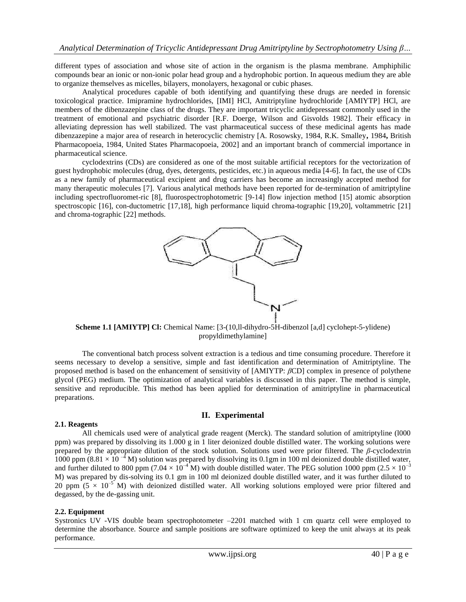different types of association and whose site of action in the organism is the plasma membrane. Amphiphilic compounds bear an ionic or non-ionic polar head group and a hydrophobic portion. In aqueous medium they are able to organize themselves as micelles, bilayers, monolayers, hexagonal or cubic phases.

Analytical procedures capable of both identifying and quantifying these drugs are needed in forensic toxicological practice. Imipramine hydrochlorides, [IMI] HCl, Amitriptyline hydrochloride [AMIYTP] HCl, are members of the dibenzazepine class of the drugs. They are important tricyclic antidepressant commonly used in the treatment of emotional and psychiatric disorder [R.F. Doerge, Wilson and Gisvolds 1982]. Their efficacy in alleviating depression has well stabilized. The vast pharmaceutical success of these medicinal agents has made dibenzazepine a major area of research in heterocyclic chemistry [A. Rosowsky, 1984, R.K. Smalley**,** 1984**,** British Pharmacopoeia, 1984, United States Pharmacopoeia, 2002] and an important branch of commercial importance in pharmaceutical science.

cyclodextrins (CDs) are considered as one of the most suitable artificial receptors for the vectorization of guest hydrophobic molecules (drug, dyes, detergents, pesticides, etc.) in aqueous media [4-6]. In fact, the use of CDs as a new family of pharmaceutical excipient and drug carriers has become an increasingly accepted method for many therapeutic molecules [7]. Various analytical methods have been reported for de-termination of amitriptyline including spectrofluoromet-ric [8], fluorospectrophotometric [9-14] flow injection method [15] atomic absorption spectroscopic [16], con-ductometric [17,18], high performance liquid chroma-tographic [19,20], voltammetric [21] and chroma-tographic [22] methods.



**Scheme 1.1 [AMIYTP] Cl:** Chemical Name: [3-(10,ll-dihydro-5H-dibenzol [a,d] cyclohept-5-ylidene) propyldimethylamine]

The conventional batch process solvent extraction is a tedious and time consuming procedure. Therefore it seems necessary to develop a sensitive, simple and fast identification and determination of Amitriptyline. The proposed method is based on the enhancement of sensitivity of [AMIYTP: *β*CD] complex in presence of polythene glycol (PEG) medium. The optimization of analytical variables is discussed in this paper. The method is simple, sensitive and reproducible. This method has been applied for determination of amitriptyline in pharmaceutical preparations.

# **II. Experimental**

## **2.1. Reagents**

All chemicals used were of analytical grade reagent (Merck). The standard solution of amitriptyline (l000 ppm) was prepared by dissolving its 1.000 g in 1 liter deionized double distilled water. The working solutions were prepared by the appropriate dilution of the stock solution. Solutions used were prior filtered. The *β*-cyclodextrin 1000 ppm (8.81  $\times$  10<sup>-4</sup> M) solution was prepared by dissolving its 0.1gm in 100 ml deionized double distilled water, and further diluted to 800 ppm (7.04  $\times$  10<sup>-4</sup> M) with double distilled water. The PEG solution 1000 ppm (2.5  $\times$  10<sup>-3</sup> M) was prepared by dis-solving its 0.1 gm in 100 ml deionized double distilled water, and it was further diluted to 20 ppm  $(5 \times 10^{-5}$  M) with deionized distilled water. All working solutions employed were prior filtered and degassed, by the de-gassing unit.

## **2.2. Equipment**

Systronics UV -VIS double beam spectrophotometer –2201 matched with 1 cm quartz cell were employed to determine the absorbance. Source and sample positions are software optimized to keep the unit always at its peak performance.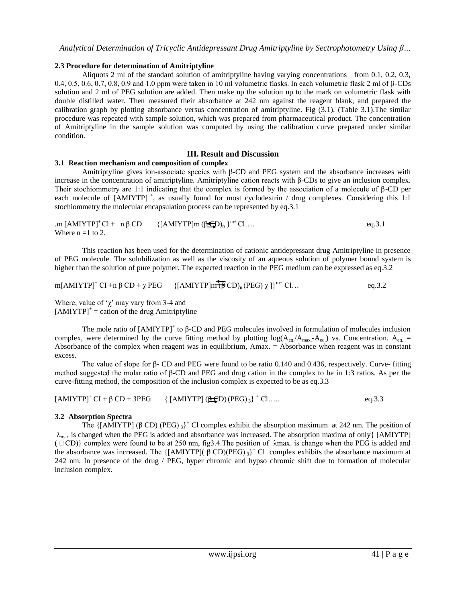# **2.3 Procedure for determination of Amitriptyline**

Aliquots 2 ml of the standard solution of amitriptyline having varying concentrations from 0.1, 0.2, 0.3, 0.4, 0.5, 0.6, 0.7, 0.8, 0.9 and 1.0 ppm were taken in 10 ml volumetric flasks. In each volumetric flask 2 ml of β-CDs solution and 2 ml of PEG solution are added. Then make up the solution up to the mark on volumetric flask with double distilled water. Then measured their absorbance at 242 nm against the reagent blank, and prepared the calibration graph by plotting absorbance versus concentration of amitriptyline. Fig (3.1), (Table 3.1).The similar procedure was repeated with sample solution, which was prepared from pharmaceutical product. The concentration of Amitriptyline in the sample solution was computed by using the calibration curve prepared under similar condition.

# **III. Result and Discussion**

# **3.1 Reaction mechanism and composition of complex**

Amitriptyline gives ion-associate species with β-CD and PEG system and the absorbance increases with increase in the concentration of amitriptyline. Amitriptyline cation reacts with β-CDs to give an inclusion complex. Their stochiommetry are 1:1 indicating that the complex is formed by the association of a molecule of β-CD per each molecule of [AMIYTP]<sup>+</sup>, as usually found for most cyclodextrin / drug complexes. Considering this 1:1 stochiommetry the molecular encapsulation process can be represented by eq.3.1

.m  $[AMIYTP]^+Cl + nβ CD$  ${[AMIYTP]}m({BCD)_n}^{m+}{Cl...}$  eq.3.1 Where  $n = 1$  to 2.

This reaction has been used for the determination of cationic antidepressant drug Amitriptyline in presence of PEG molecule. The solubilization as well as the viscosity of an aqueous solution of polymer bound system is higher than the solution of pure polymer. The expected reaction in the PEG medium can be expressed as eq.3.2

$$
m[AMIYTP]^+ CI + n \beta CD + \chi PEG
$$
 {[AMIYTP]m~~T(β~~CD)<sub>n</sub>(PEG)  $\chi$ ]}<sup>m+</sup>Cl... eq.3.2

Where, value of ' $\chi$ ' may vary from 3-4 and  $[AMIYTP]$ <sup>+</sup> = cation of the drug Amitriptyline

The mole ratio of  $[AMIYTP]^+$  to  $\beta$ -CD and PEG molecules involved in formulation of molecules inclusion complex, were determined by the curve fitting method by plotting  $log(A_{eq}/A_{max}.-A_{eq.})$  vs. Concentration.  $A_{eq.}$  = Absorbance of the complex when reagent was in equilibrium, Amax. = Absorbance when reagent was in constant excess.

The value of slope for β- CD and PEG were found to be ratio 0.140 and 0.436, respectively. Curve- fitting method suggested the molar ratio of β-CD and PEG and drug cation in the complex to be in 1:3 ratios. As per the curve-fitting method, the composition of the inclusion complex is expected to be as eq.3.3

 $[AMIYTP]^+$  CI +  $\beta$  CD + 3PEG {  $[AMIYTP]$  (**B**ED)(PEG) 3<sup>}</sup>  $\pm$  Cl….. eq.3.3

## **3.2 Absorption Spectra**

The  $\{[AMIYTP] (\beta CD) (PEG)_{3}\}^{+}$  Cl complex exhibit the absorption maximum at 242 nm. The position of  $\lambda_{\text{max}}$  is changed when the PEG is added and absorbance was increased. The absorption maxima of only { [AMIYTP] (**β**CD)} complex were found to be at 250 nm, fig3.4.The position of λmax. is change when the PEG is added and the absorbance was increased. The  ${[AMIYTP] (\beta CD)(PEG)_{3}}^+$  Cl complex exhibits the absorbance maximum at 242 nm. In presence of the drug / PEG, hyper chromic and hypso chromic shift due to formation of molecular inclusion complex.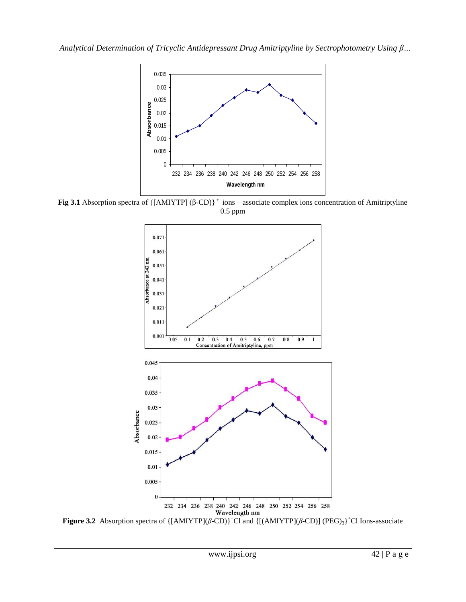

**Fig 3.1** Absorption spectra of {[AMIYTP] (β-CD)} <sup>+</sup> ions – associate complex ions concentration of Amitriptyline 0.5 ppm



**Figure 3.2** Absorption spectra of  $\{[AMIYTP](β\text{-}CD)\}$ <sup>+</sup>Cl and  $\{[(AMIYTP](β\text{-}CD)]$  (PEG)<sub>3</sub>}<sup>+</sup>Cl Ions-associate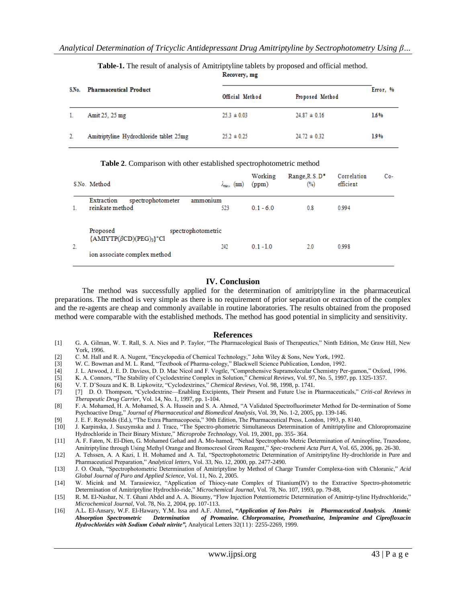| Table-1. The result of analysis of Amitriptyline tablets by proposed and official method. |  |
|-------------------------------------------------------------------------------------------|--|
| Recovery, mg                                                                              |  |

| S.No. | <b>Pharmaceutical Product</b>           | Official Method | Proposed Method  | Error, % |
|-------|-----------------------------------------|-----------------|------------------|----------|
| -1.   | Amit 25, 25 mg                          | $25.3 \pm 0.03$ | $24.87 \pm 0.16$ | 1.6%     |
| 2     | Amitriptyline Hydrochloride tablet 25mg | $25.2 \pm 0.25$ | $24.72 \pm 0.32$ | 1.9%     |

 **Table 2**. Comparison with other established spectrophotometric method

|    | S.No. Method                                                                                                  | (nm)<br>Amers. | Working<br>(ppm) | $Range, R.S. D^*$<br>(%) | Correlation<br>efficient | $Co-$ |
|----|---------------------------------------------------------------------------------------------------------------|----------------|------------------|--------------------------|--------------------------|-------|
|    | Extraction<br>spectrophotometer<br>ammonium<br>reinkate method                                                | 523            | $01 - 60$        | 0.8                      | 0.994                    |       |
| 2. | spectrophotometric<br>Proposed<br>${AMIYTP(\beta CD)(PEG)_3}$ <sup>+</sup> Cl<br>ion associate complex method | 242            | $0.1 - 1.0$      | 2.0                      | 0.998                    |       |

## **IV. Conclusion**

The method was successfully applied for the determination of amitriptyline in the pharmaceutical preparations. The method is very simple as there is no requirement of prior separation or extraction of the complex and the re-agents are cheap and commonly available in routine laboratories. The results obtained from the proposed method were comparable with the established methods. The method has good potential in simplicity and sensitivity.

## **References**

- [1] G. A. Gilman, W. T. Rall, S. A. Nies and P. Taylor, "The Pharmacological Basis of Therapeutics," Ninth Edition, Mc Graw Hill, New York, 1996.
- [2] C. M. Hall and R. A. Nugent, "Encyclopedia of Chemical Technology," John Wiley & Sons, New York, 1992.
- [3] W. C. Bowman and M. L. Rand, "Textbook of Pharma-cology," Blackwell Science Publication, London, 1992.
- [4] J. L. Atwood, J. E. D. Daviess, D. D. Mac Nicol and F. Vogtle, "Comprehensive Supramolecular Chemistry Per-gamon," Oxford, 1996.
- [5] K. A. Connors, "The Stability of Cyclodextrine Complex in Solution," *Chemical Reviews*, Vol. 97, No. 5, 1997, pp. 1325-1357.
- [6] V. T. D'Souza and K. B. Lipkowitz, "Cyclodextrines," *Chemical Reviews*, Vol. 98, 1998, p. 1741.
- [7] D. O. Thompson, "Cyclodextrine—Enabling Excipients, Their Present and Future Use in Pharmaceuticals," Criti-cal Reviews in *Therapeutic Drug Carrier*, Vol. 14, No. 1, 1997, pp. 1-104.
- [8] F. A. Mohamed, H. A. Mohamed, S. A. Hussein and S. A. Ahmed, "A Validated Spectrofluorimeter Method for De-termination of Some Psychoactive Drug,‖ *Journal of Pharmaceutical and Biomedical Analysis*, Vol. 39, No. 1-2, 2005, pp. 139-146.
- [9] J. E. F. Reynolds (Ed.), "The Extra Pharmacopoeia," 30th Edition, The Pharmaceutical Press, London, 1993, p. 8140.
- [10] J. Karpinska, J. Suszymska and J. Trace, "The Spectro-phometric Simultaneous Determination of Amitriptyline and Chloropromazine Hydrochloride in Their Binary Mixture," Microprobe Technology, Vol. 19, 2001, pp. 355- 364.
- [11] A. F. Faten, N. El-Dien, G. Mohamed Gehad and A. Mo-hamed, "Nehad Spectrophoto Metric Determination of Aminopline, Trazodone, Amitriptyline through Using Methyl Orange and Bromocresol Green Reagent," *Spec-trochemi Acta Part A*, Vol. 65, 2006, pp. 26-30.
- [12] A. Tehssen, A. A Kazi, I. H. Mohamed and A. Tal, "Spectrophotometric Determination of Amitriptyline Hy-drochloride in Pure and Pharmaceutical Preparation," *Analytical letters*, Vol. 33, No. 12, 2000, pp. 2477-2490.
- [13] J. O. Onah, "Spectrophotometric Determination of Amitriptyline by Method of Charge Transfer Complexa-tion with Chloranic," Acid *Global Journal of Puro and Applied Science*, Vol. 11, No. 2, 2005.
- [14] W. Micink and M. Tarasiewicz, "Application of Thiocy-nate Complex of Titanium(IV) to the Extractive Spectro-photometric Determination of Amitriptyline Hydrochlo-ride," Microchemical Journal, Vol. 78, No. 107, 1993, pp. 79-88,
- [15] R. M. El-Nashar, N. T. Ghani Abdel and A. A. Bioumy, "Flow Injection Potentiometric Determination of Amitrip-tyline Hydrochloride," *Microchemical Journal*, Vol. 78, No. 2, 2004, pp. 107-113.
- [16] A.L. El-Ansary, W.F. El-Hawary, Y.M. Issa and A.F. Ahmed**, "***Application of Ion-Pairs in Pharmaceutical Analysis. Atomic Absorption Spectrometric Determination of Promazine. Chlorpromazine, Promethazine, Imipramine and Ciprofloxacin Hydrochlorides with Sodium Cobalt nitrite",* Analytical Letters 32(11): 2255-2269, 1999.